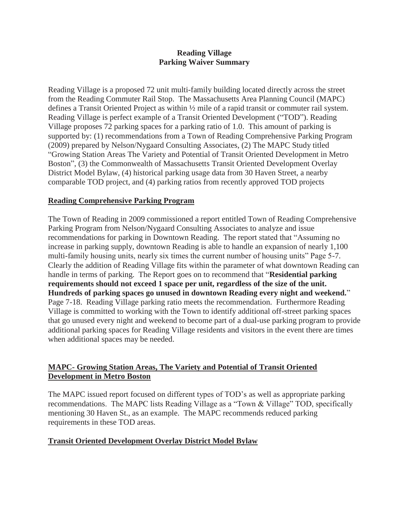### **Reading Village Parking Waiver Summary**

Reading Village is a proposed 72 unit multi-family building located directly across the street from the Reading Commuter Rail Stop. The Massachusetts Area Planning Council (MAPC) defines a Transit Oriented Project as within ½ mile of a rapid transit or commuter rail system. Reading Village is perfect example of a Transit Oriented Development ("TOD"). Reading Village proposes 72 parking spaces for a parking ratio of 1.0. This amount of parking is supported by: (1) recommendations from a Town of Reading Comprehensive Parking Program (2009) prepared by Nelson/Nygaard Consulting Associates, (2) The MAPC Study titled "Growing Station Areas The Variety and Potential of Transit Oriented Development in Metro Boston", (3) the Commonwealth of Massachusetts Transit Oriented Development Overlay District Model Bylaw, (4) historical parking usage data from 30 Haven Street, a nearby comparable TOD project, and (4) parking ratios from recently approved TOD projects

## **Reading Comprehensive Parking Program**

The Town of Reading in 2009 commissioned a report entitled Town of Reading Comprehensive Parking Program from Nelson/Nygaard Consulting Associates to analyze and issue recommendations for parking in Downtown Reading. The report stated that "Assuming no increase in parking supply, downtown Reading is able to handle an expansion of nearly 1,100 multi-family housing units, nearly six times the current number of housing units" Page 5-7. Clearly the addition of Reading Village fits within the parameter of what downtown Reading can handle in terms of parking. The Report goes on to recommend that "**Residential parking requirements should not exceed 1 space per unit, regardless of the size of the unit. Hundreds of parking spaces go unused in downtown Reading every night and weekend.**" Page 7-18. Reading Village parking ratio meets the recommendation. Furthermore Reading Village is committed to working with the Town to identify additional off-street parking spaces that go unused every night and weekend to become part of a dual-use parking program to provide additional parking spaces for Reading Village residents and visitors in the event there are times when additional spaces may be needed.

## **MAPC- Growing Station Areas, The Variety and Potential of Transit Oriented Development in Metro Boston**

The MAPC issued report focused on different types of TOD's as well as appropriate parking recommendations. The MAPC lists Reading Village as a "Town & Village" TOD, specifically mentioning 30 Haven St., as an example. The MAPC recommends reduced parking requirements in these TOD areas.

## **Transit Oriented Development Overlay District Model Bylaw**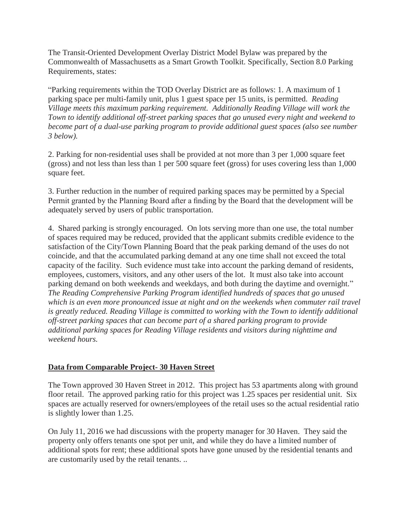The Transit-Oriented Development Overlay District Model Bylaw was prepared by the Commonwealth of Massachusetts as a Smart Growth Toolkit. Specifically, Section 8.0 Parking Requirements, states:

"Parking requirements within the TOD Overlay District are as follows: 1. A maximum of 1 parking space per multi-family unit, plus 1 guest space per 15 units, is permitted. *Reading Village meets this maximum parking requirement. Additionally Reading Village will work the Town to identify additional off-street parking spaces that go unused every night and weekend to become part of a dual-use parking program to provide additional guest spaces (also see number 3 below).*

2. Parking for non-residential uses shall be provided at not more than 3 per 1,000 square feet (gross) and not less than less than 1 per 500 square feet (gross) for uses covering less than 1,000 square feet.

3. Further reduction in the number of required parking spaces may be permitted by a Special Permit granted by the Planning Board after a finding by the Board that the development will be adequately served by users of public transportation.

4. Shared parking is strongly encouraged. On lots serving more than one use, the total number of spaces required may be reduced, provided that the applicant submits credible evidence to the satisfaction of the City/Town Planning Board that the peak parking demand of the uses do not coincide, and that the accumulated parking demand at any one time shall not exceed the total capacity of the facility. Such evidence must take into account the parking demand of residents, employees, customers, visitors, and any other users of the lot. It must also take into account parking demand on both weekends and weekdays, and both during the daytime and overnight." *The Reading Comprehensive Parking Program identified hundreds of spaces that go unused which is an even more pronounced issue at night and on the weekends when commuter rail travel is greatly reduced. Reading Village is committed to working with the Town to identify additional off-street parking spaces that can become part of a shared parking program to provide additional parking spaces for Reading Village residents and visitors during nighttime and weekend hours.*

# **Data from Comparable Project- 30 Haven Street**

The Town approved 30 Haven Street in 2012. This project has 53 apartments along with ground floor retail. The approved parking ratio for this project was 1.25 spaces per residential unit. Six spaces are actually reserved for owners/employees of the retail uses so the actual residential ratio is slightly lower than 1.25.

On July 11, 2016 we had discussions with the property manager for 30 Haven. They said the property only offers tenants one spot per unit, and while they do have a limited number of additional spots for rent; these additional spots have gone unused by the residential tenants and are customarily used by the retail tenants. ..